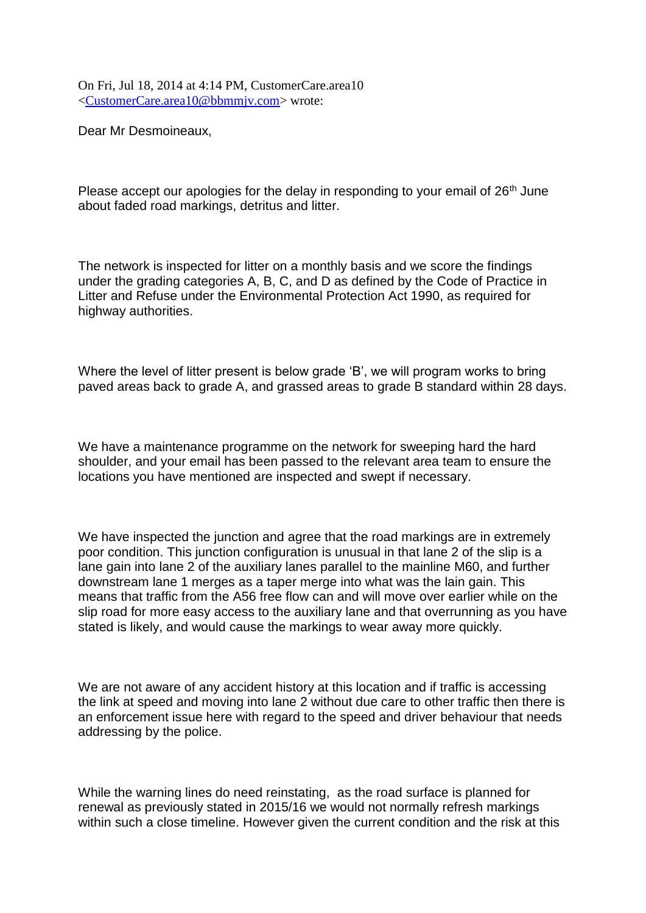On Fri, Jul 18, 2014 at 4:14 PM, CustomerCare.area10 [<CustomerCare.area10@bbmmjv.com>](mailto:CustomerCare.area10@bbmmjv.com) wrote:

Dear Mr Desmoineaux,

Please accept our apologies for the delay in responding to your email of 26<sup>th</sup> June about faded road markings, detritus and litter.

The network is inspected for litter on a monthly basis and we score the findings under the grading categories A, B, C, and D as defined by the Code of Practice in Litter and Refuse under the Environmental Protection Act 1990, as required for highway authorities.

Where the level of litter present is below grade 'B', we will program works to bring paved areas back to grade A, and grassed areas to grade B standard within 28 days.

We have a maintenance programme on the network for sweeping hard the hard shoulder, and your email has been passed to the relevant area team to ensure the locations you have mentioned are inspected and swept if necessary.

We have inspected the junction and agree that the road markings are in extremely poor condition. This junction configuration is unusual in that lane 2 of the slip is a lane gain into lane 2 of the auxiliary lanes parallel to the mainline M60, and further downstream lane 1 merges as a taper merge into what was the lain gain. This means that traffic from the A56 free flow can and will move over earlier while on the slip road for more easy access to the auxiliary lane and that overrunning as you have stated is likely, and would cause the markings to wear away more quickly.

We are not aware of any accident history at this location and if traffic is accessing the link at speed and moving into lane 2 without due care to other traffic then there is an enforcement issue here with regard to the speed and driver behaviour that needs addressing by the police.

While the warning lines do need reinstating, as the road surface is planned for renewal as previously stated in 2015/16 we would not normally refresh markings within such a close timeline. However given the current condition and the risk at this